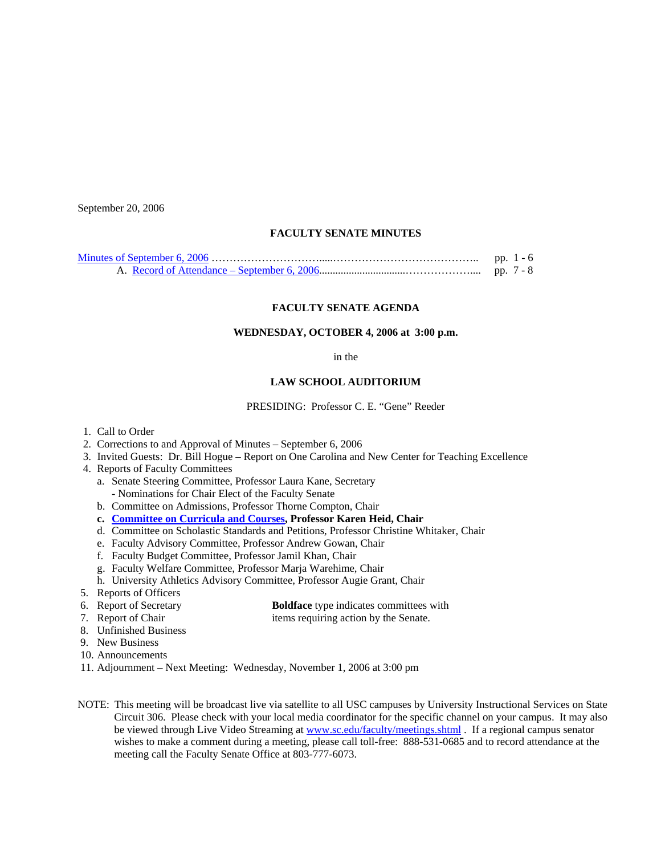September 20, 2006

# **FACULTY SENATE MINUTES**

| pp. $1 - 6$ |
|-------------|
| pp. 7 - 8   |

#### **FACULTY SENATE AGENDA**

## **WEDNESDAY, OCTOBER 4, 2006 at 3:00 p.m.**

#### in the

#### **LAW SCHOOL AUDITORIUM**

PRESIDING: Professor C. E. "Gene" Reeder

- 1. Call to Order
- 2. Corrections to and Approval of Minutes September 6, 2006
- 3. Invited Guests: Dr. Bill Hogue Report on One Carolina and New Center for Teaching Excellence
- 4. Reports of Faculty Committees
	- a. Senate Steering Committee, Professor Laura Kane, Secretary - Nominations for Chair Elect of the Faculty Senate
	- b. Committee on Admissions, Professor Thorne Compton, Chair
	- **c. [Committee on Curricula and Courses](http://www.sc.edu/faculty/senate/06/agenda/1004.cc.pdf), Professor Karen Heid, Chair**
	- d. Committee on Scholastic Standards and Petitions, Professor Christine Whitaker, Chair
	- e. Faculty Advisory Committee, Professor Andrew Gowan, Chair
	- f. Faculty Budget Committee, Professor Jamil Khan, Chair
	- g. Faculty Welfare Committee, Professor Marja Warehime, Chair
	- h. University Athletics Advisory Committee, Professor Augie Grant, Chair
- 5. Reports of Officers
- 6. Report of Secretary **Boldface** type indicates committees with
- 
- 7. Report of Chair items requiring action by the Senate.
- 8. Unfinished Business
- 9. New Business
- 10. Announcements
- 11. Adjournment Next Meeting: Wednesday, November 1, 2006 at 3:00 pm
- NOTE: This meeting will be broadcast live via satellite to all USC campuses by University Instructional Services on State Circuit 306. Please check with your local media coordinator for the specific channel on your campus. It may also be viewed through Live Video Streaming at [www.sc.edu/faculty/meetings.shtml](http://www.sc.edu/faculty/meetings.shtml) . If a regional campus senator wishes to make a comment during a meeting, please call toll-free: 888-531-0685 and to record attendance at the meeting call the Faculty Senate Office at 803-777-6073.